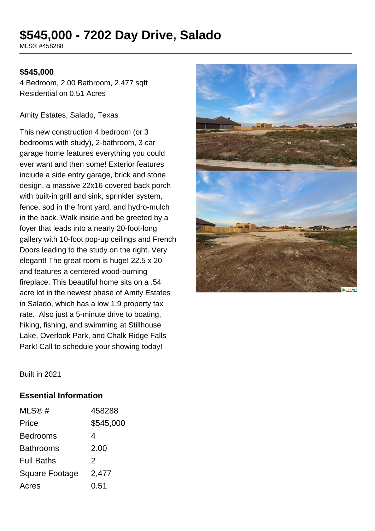# **\$545,000 - 7202 Day Drive, Salado**

MLS® #458288

#### **\$545,000**

4 Bedroom, 2.00 Bathroom, 2,477 sqft Residential on 0.51 Acres

#### Amity Estates, Salado, Texas

This new construction 4 bedroom (or 3 bedrooms with study), 2-bathroom, 3 car garage home features everything you could ever want and then some! Exterior features include a side entry garage, brick and stone design, a massive 22x16 covered back porch with built-in grill and sink, sprinkler system, fence, sod in the front yard, and hydro-mulch in the back. Walk inside and be greeted by a foyer that leads into a nearly 20-foot-long gallery with 10-foot pop-up ceilings and French Doors leading to the study on the right. Very elegant! The great room is huge! 22.5 x 20 and features a centered wood-burning fireplace. This beautiful home sits on a .54 acre lot in the newest phase of Amity Estates in Salado, which has a low 1.9 property tax rate. Also just a 5-minute drive to boating. hiking, fishing, and swimming at Stillhouse Lake, Overlook Park, and Chalk Ridge Falls Park! Call to schedule your showing today!



Built in 2021

#### **Essential Information**

| MLS@#                 | 458288        |
|-----------------------|---------------|
| Price                 | \$545,000     |
| <b>Bedrooms</b>       | 4             |
| <b>Bathrooms</b>      | 2.00          |
| <b>Full Baths</b>     | $\mathcal{P}$ |
| <b>Square Footage</b> | 2,477         |
| Acres                 | 0.51          |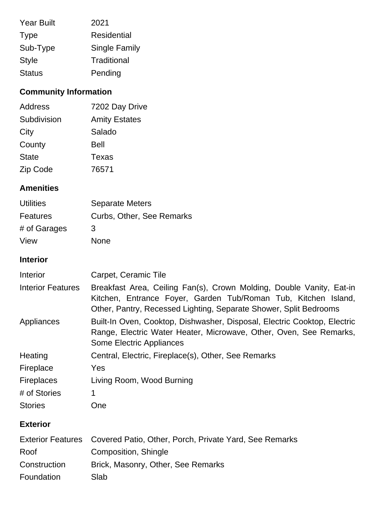| <b>Year Built</b> | 2021                 |
|-------------------|----------------------|
| <b>Type</b>       | <b>Residential</b>   |
| Sub-Type          | <b>Single Family</b> |
| <b>Style</b>      | Traditional          |
| <b>Status</b>     | Pending              |

## **Community Information**

| Address      | 7202 Day Drive       |
|--------------|----------------------|
| Subdivision  | <b>Amity Estates</b> |
| City         | Salado               |
| County       | Bell                 |
| <b>State</b> | Texas                |
| Zip Code     | 76571                |

## **Amenities**

| <b>Utilities</b> | <b>Separate Meters</b>    |
|------------------|---------------------------|
| Features         | Curbs, Other, See Remarks |
| # of Garages     | 3                         |
| View             | <b>None</b>               |

## **Interior**

| Interior                 | Carpet, Ceramic Tile                                                                                                                                                                                        |
|--------------------------|-------------------------------------------------------------------------------------------------------------------------------------------------------------------------------------------------------------|
| <b>Interior Features</b> | Breakfast Area, Ceiling Fan(s), Crown Molding, Double Vanity, Eat-in<br>Kitchen, Entrance Foyer, Garden Tub/Roman Tub, Kitchen Island,<br>Other, Pantry, Recessed Lighting, Separate Shower, Split Bedrooms |
| Appliances               | Built-In Oven, Cooktop, Dishwasher, Disposal, Electric Cooktop, Electric<br>Range, Electric Water Heater, Microwave, Other, Oven, See Remarks,<br>Some Electric Appliances                                  |
| Heating                  | Central, Electric, Fireplace(s), Other, See Remarks                                                                                                                                                         |
| Fireplace                | <b>Yes</b>                                                                                                                                                                                                  |
| <b>Fireplaces</b>        | Living Room, Wood Burning                                                                                                                                                                                   |
| # of Stories             | 1                                                                                                                                                                                                           |
| <b>Stories</b>           | One                                                                                                                                                                                                         |
| <b>Exterior</b>          |                                                                                                                                                                                                             |
|                          | Exterior Features Covered Patio, Other, Porch, Private Yard, See Remarks                                                                                                                                    |

| Roof         | Composition, Shingle               |
|--------------|------------------------------------|
| Construction | Brick, Masonry, Other, See Remarks |

Foundation Slab